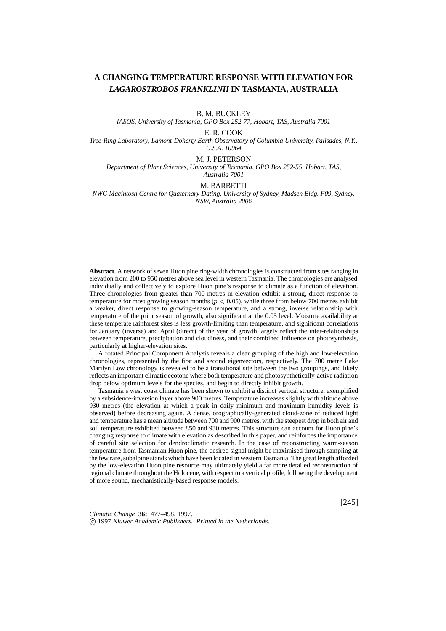# **A CHANGING TEMPERATURE RESPONSE WITH ELEVATION FOR** *LAGAROSTROBOS FRANKLINII* **IN TASMANIA, AUSTRALIA**

### B. M. BUCKLEY

*IASOS, University of Tasmania, GPO Box 252-77, Hobart, TAS, Australia 7001*

### E. R. COOK

*Tree-Ring Laboratory, Lamont-Doherty Earth Observatory of Columbia University, Palisades, N.Y., U.S.A. 10964*

#### M. J. PETERSON

*Department of Plant Sciences, University of Tasmania, GPO Box 252-55, Hobart, TAS, Australia 7001*

### M. BARBETTI

*NWG Macintosh Centre for Quaternary Dating, University of Sydney, Madsen Bldg. F09, Sydney, NSW, Australia 2006*

**Abstract.** A network of seven Huon pine ring-width chronologies is constructed from sites ranging in elevation from 200 to 950 metres above sea level in western Tasmania. The chronologies are analysed individually and collectively to explore Huon pine's response to climate as a function of elevation. Three chronologies from greater than 700 metres in elevation exhibit a strong, direct response to temperature for most growing season months ( $p < 0.05$ ), while three from below 700 metres exhibit a weaker, direct response to growing-season temperature, and a strong, inverse relationship with temperature of the prior season of growth, also significant at the 0.05 level. Moisture availability at these temperate rainforest sites is less growth-limiting than temperature, and significant correlations for January (inverse) and April (direct) of the year of growth largely reflect the inter-relationships between temperature, precipitation and cloudiness, and their combined influence on photosynthesis, particularly at higher-elevation sites.

A rotated Principal Component Analysis reveals a clear grouping of the high and low-elevation chronologies, represented by the first and second eigenvectors, respectively. The 700 metre Lake Marilyn Low chronology is revealed to be a transitional site between the two groupings, and likely reflects an important climatic ecotone where both temperature and photosynthetically-active radiation drop below optimum levels for the species, and begin to directly inhibit growth.

Tasmania's west coast climate has been shown to exhibit a distinct vertical structure, exemplified by a subsidence-inversion layer above 900 metres. Temperature increases slightly with altitude above 930 metres (the elevation at which a peak in daily minimum and maximum humidity levels is observed) before decreasing again. A dense, orographically-generated cloud-zone of reduced light and temperature has a mean altitude between 700 and 900 metres, with the steepest drop in both air and soil temperature exhibited between 850 and 930 metres. This structure can account for Huon pine's changing response to climate with elevation as described in this paper, and reinforces the importance of careful site selection for dendroclimatic research. In the case of reconstructing warm-season temperature from Tasmanian Huon pine, the desired signal might be maximised through sampling at the few rare, subalpine stands which have been located in western Tasmania. The great length afforded by the low-elevation Huon pine resource may ultimately yield a far more detailed reconstruction of regional climate throughout the Holocene, with respect to a vertical profile, following the development of more sound, mechanistically-based response models.

[245]

*Climatic Change* **36:** 477–498, 1997. c 1997 *Kluwer Academic Publishers. Printed in the Netherlands.*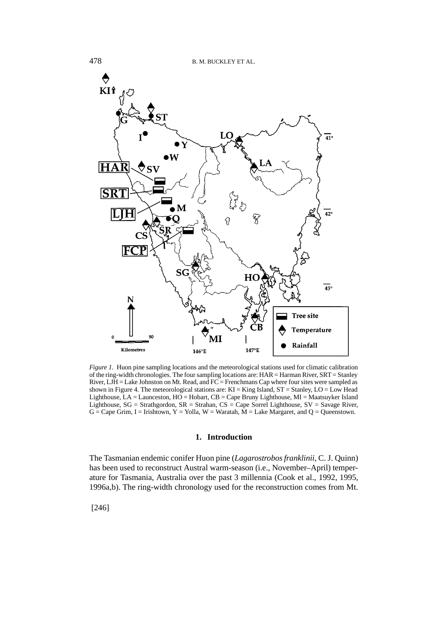

*Figure 1*. Huon pine sampling locations and the meteorological stations used for climatic calibration of the ring-width chronologies. The four sampling locations are: HAR = Harman River, SRT = Stanley River,  $LJH = Lake$  Johnston on Mt. Read, and  $FC =$  Frenchmans Cap where four sites were sampled as shown in Figure 4. The meteorological stations are:  $KI = King$  Island,  $ST = Stanley$ ,  $LO = Low$  Head Lighthouse, LA = Launceston, HO = Hobart, CB = Cape Bruny Lighthouse, MI = Maatsuyker Island Lighthouse, SG = Strathgordon, SR = Strahan, CS = Cape Sorrel Lighthouse, SV = Savage River,  $G = Cape Grim, I = Irishtown, Y = Yolla, W = Waratah, M = Lake Margaret, and Q = Queenstown.$ 

### **1. Introduction**

The Tasmanian endemic conifer Huon pine (*Lagarostrobos franklinii*, C. J. Quinn) has been used to reconstruct Austral warm-season (i.e., November–April) temperature for Tasmania, Australia over the past 3 millennia (Cook et al., 1992, 1995, 1996a,b). The ring-width chronology used for the reconstruction comes from Mt.

[246]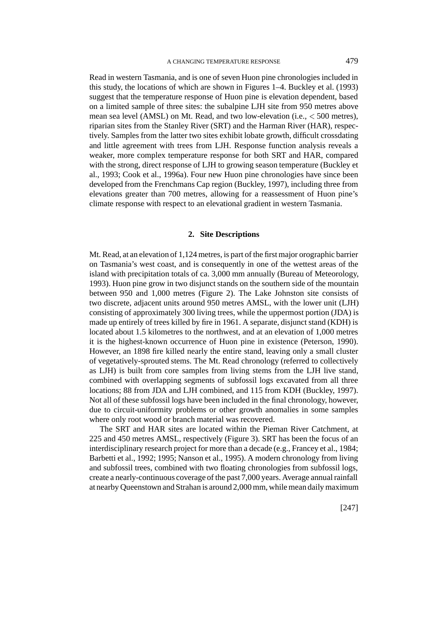Read in western Tasmania, and is one of seven Huon pine chronologies included in this study, the locations of which are shown in Figures 1–4. Buckley et al. (1993) suggest that the temperature response of Huon pine is elevation dependent, based on a limited sample of three sites: the subalpine LJH site from 950 metres above mean sea level (AMSL) on Mt. Read, and two low-elevation (i.e., <sup>&</sup>lt; 500 metres), riparian sites from the Stanley River (SRT) and the Harman River (HAR), respectively. Samples from the latter two sites exhibit lobate growth, difficult crossdating and little agreement with trees from LJH. Response function analysis reveals a weaker, more complex temperature response for both SRT and HAR, compared with the strong, direct response of LJH to growing season temperature (Buckley et al., 1993; Cook et al., 1996a). Four new Huon pine chronologies have since been developed from the Frenchmans Cap region (Buckley, 1997), including three from elevations greater than 700 metres, allowing for a reassessment of Huon pine's climate response with respect to an elevational gradient in western Tasmania.

# **2. Site Descriptions**

Mt. Read, at an elevation of 1,124 metres, is part of the first major orographic barrier on Tasmania's west coast, and is consequently in one of the wettest areas of the island with precipitation totals of ca. 3,000 mm annually (Bureau of Meteorology, 1993). Huon pine grow in two disjunct stands on the southern side of the mountain between 950 and 1,000 metres (Figure 2). The Lake Johnston site consists of two discrete, adjacent units around 950 metres AMSL, with the lower unit (LJH) consisting of approximately 300 living trees, while the uppermost portion (JDA) is made up entirely of trees killed by fire in 1961. A separate, disjunct stand (KDH) is located about 1.5 kilometres to the northwest, and at an elevation of 1,000 metres it is the highest-known occurrence of Huon pine in existence (Peterson, 1990). However, an 1898 fire killed nearly the entire stand, leaving only a small cluster of vegetatively-sprouted stems. The Mt. Read chronology (referred to collectively as LJH) is built from core samples from living stems from the LJH live stand, combined with overlapping segments of subfossil logs excavated from all three locations; 88 from JDA and LJH combined, and 115 from KDH (Buckley, 1997). Not all of these subfossil logs have been included in the final chronology, however, due to circuit-uniformity problems or other growth anomalies in some samples where only root wood or branch material was recovered.

The SRT and HAR sites are located within the Pieman River Catchment, at 225 and 450 metres AMSL, respectively (Figure 3). SRT has been the focus of an interdisciplinary research project for more than a decade (e.g., Francey et al., 1984; Barbetti et al., 1992; 1995; Nanson et al., 1995). A modern chronology from living and subfossil trees, combined with two floating chronologies from subfossil logs, create a nearly-continuous coverage of the past 7,000 years. Average annual rainfall at nearby Queenstown and Strahan is around 2,000 mm, while mean daily maximum

[247]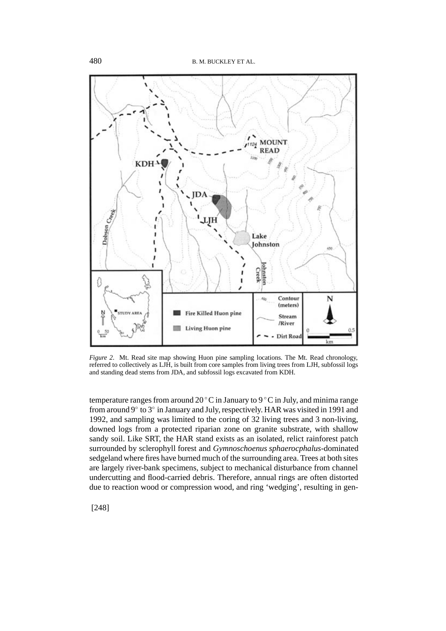

*Figure 2*. Mt. Read site map showing Huon pine sampling locations. The Mt. Read chronology, referred to collectively as LJH, is built from core samples from living trees from LJH, subfossil logs and standing dead stems from JDA, and subfossil logs excavated from KDH.

temperature ranges from around 20  $\rm ^{\circ}C$  in January to 9  $\rm ^{\circ}C$  in July, and minima range from around  $9^{\circ}$  to  $3^{\circ}$  in January and July, respectively. HAR was visited in 1991 and 1992, and sampling was limited to the coring of 32 living trees and 3 non-living, downed logs from a protected riparian zone on granite substrate, with shallow sandy soil. Like SRT, the HAR stand exists as an isolated, relict rainforest patch surrounded by sclerophyll forest and *Gymnoschoenus sphaerocphalus*-dominated sedgeland where fires have burned much of the surrounding area. Trees at both sites are largely river-bank specimens, subject to mechanical disturbance from channel undercutting and flood-carried debris. Therefore, annual rings are often distorted due to reaction wood or compression wood, and ring 'wedging', resulting in gen-

[248]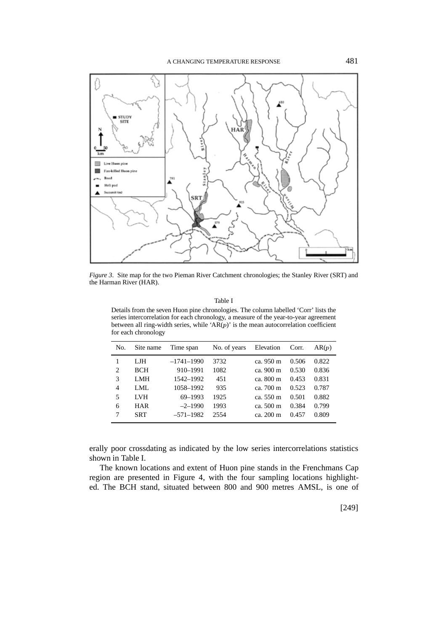

*Figure 3*. Site map for the two Pieman River Catchment chronologies; the Stanley River (SRT) and the Harman River (HAR).

Table I

Details from the seven Huon pine chronologies. The column labelled 'Corr' lists the series intercorrelation for each chronology, a measure of the year-to-year agreement between all ring-width series, while 'AR $(p)$ ' is the mean autocorrelation coefficient for each chronology

| No. | Site name  | Time span    | No. of years | Elevation | Corr. | AR(p) |
|-----|------------|--------------|--------------|-----------|-------|-------|
|     | LJH.       | $-1741-1990$ | 3732         | ca. 950 m | 0.506 | 0.822 |
| 2   | <b>BCH</b> | 910-1991     | 1082         | ca. 900 m | 0.530 | 0.836 |
| 3   | <b>LMH</b> | 1542-1992    | 451          | ca. 800 m | 0.453 | 0.831 |
| 4   | LML.       | 1058-1992    | 935          | ca. 700 m | 0.523 | 0.787 |
| 5   | <b>LVH</b> | 69-1993      | 1925         | ca. 550 m | 0.501 | 0.882 |
| 6   | <b>HAR</b> | $-2-1990$    | 1993         | ca. 500 m | 0.384 | 0.799 |
| 7   | <b>SRT</b> | $-571-1982$  | 2554         | ca. 200 m | 0.457 | 0.809 |

erally poor crossdating as indicated by the low series intercorrelations statistics shown in Table I.

The known locations and extent of Huon pine stands in the Frenchmans Cap region are presented in Figure 4, with the four sampling locations highlighted. The BCH stand, situated between 800 and 900 metres AMSL, is one of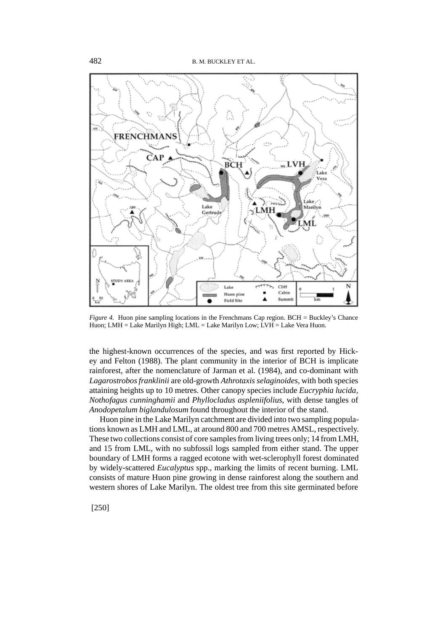

*Figure 4.* Huon pine sampling locations in the Frenchmans Cap region. BCH = Buckley's Chance Huon; LMH = Lake Marilyn High; LML = Lake Marilyn Low; LVH = Lake Vera Huon.

the highest-known occurrences of the species, and was first reported by Hickey and Felton (1988). The plant community in the interior of BCH is implicate rainforest, after the nomenclature of Jarman et al. (1984), and co-dominant with *Lagarostrobos franklinii* are old-growth *Athrotaxis selaginoides*, with both species attaining heights up to 10 metres. Other canopy species include *Eucryphia lucida*, *Nothofagus cunninghamii* and *Phyllocladus aspleniifolius*, with dense tangles of *Anodopetalum biglandulosum* found throughout the interior of the stand.

Huon pine in the Lake Marilyn catchment are divided into two sampling populations known as LMH and LML, at around 800 and 700 metres AMSL, respectively. These two collections consist of core samples from living trees only; 14 from LMH, and 15 from LML, with no subfossil logs sampled from either stand. The upper boundary of LMH forms a ragged ecotone with wet-sclerophyll forest dominated by widely-scattered *Eucalyptus* spp., marking the limits of recent burning. LML consists of mature Huon pine growing in dense rainforest along the southern and western shores of Lake Marilyn. The oldest tree from this site germinated before

[250]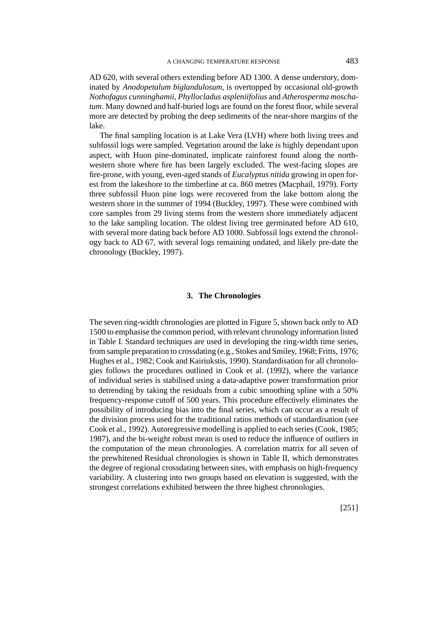AD 620, with several others extending before AD 1300. A dense understory, dominated by *Anodopetalum biglandulosum*, is overtopped by occasional old-growth *Nothofagus cunninghamii*, *Phyllocladus aspleniifolius* and *Atherosperma moschatum*. Many downed and half-buried logs are found on the forest floor, while several more are detected by probing the deep sediments of the near-shore margins of the lake.

The final sampling location is at Lake Vera (LVH) where both living trees and subfossil logs were sampled. Vegetation around the lake is highly dependant upon aspect, with Huon pine-dominated, implicate rainforest found along the northwestern shore where fire has been largely excluded. The west-facing slopes are fire-prone, with young, even-aged stands of *Eucalyptus nitida* growing in open forest from the lakeshore to the timberline at ca. 860 metres (Macphail, 1979). Forty three subfossil Huon pine logs were recovered from the lake bottom along the western shore in the summer of 1994 (Buckley, 1997). These were combined with core samples from 29 living stems from the western shore immediately adjacent to the lake sampling location. The oldest living tree germinated before AD 610, with several more dating back before AD 1000. Subfossil logs extend the chronology back to AD 67, with several logs remaining undated, and likely pre-date the chronology (Buckley, 1997).

### **3. The Chronologies**

The seven ring-width chronologies are plotted in Figure 5, shown back only to AD 1500 to emphasise the common period, with relevant chronology information listed in Table I. Standard techniques are used in developing the ring-width time series, from sample preparation to crossdating (e.g., Stokes and Smiley, 1968; Fritts, 1976; Hughes et al., 1982; Cook and Kairiukstis, 1990). Standardisation for all chronologies follows the procedures outlined in Cook et al. (1992), where the variance of individual series is stabilised using a data-adaptive power transformation prior to detrending by taking the residuals from a cubic smoothing spline with a 50% frequency-response cutoff of 500 years. This procedure effectively eliminates the possibility of introducing bias into the final series, which can occur as a result of the division process used for the traditional ratios methods of standardisation (see Cook et al., 1992). Autoregressive modelling is applied to each series (Cook, 1985; 1987), and the bi-weight robust mean is used to reduce the influence of outliers in the computation of the mean chronologies. A correlation matrix for all seven of the prewhitened Residual chronologies is shown in Table II, which demonstrates the degree of regional crossdating between sites, with emphasis on high-frequency variability. A clustering into two groups based on elevation is suggested, with the strongest correlations exhibited between the three highest chronologies.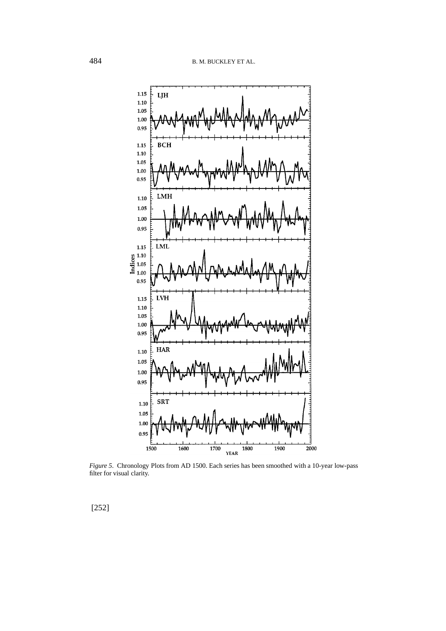

*Figure 5*. Chronology Plots from AD 1500. Each series has been smoothed with a 10-year low-pass filter for visual clarity.

[252]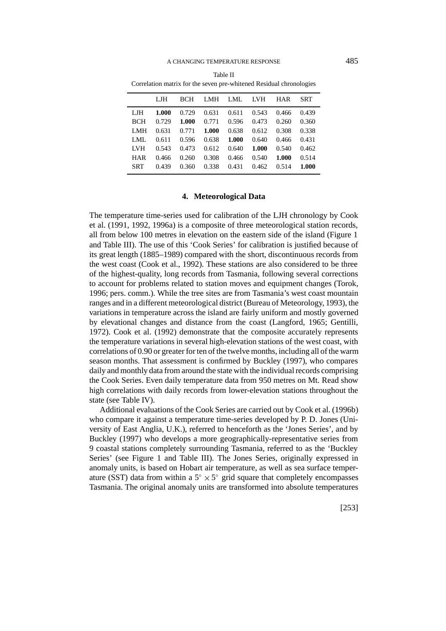### A CHANGING TEMPERATURE RESPONSE 485

| Correlation matrix for the seven pre-whitened Residual chronologies |       |            |       |       |            |       |       |
|---------------------------------------------------------------------|-------|------------|-------|-------|------------|-------|-------|
|                                                                     | LJH   | <b>BCH</b> | LMH   | LML.  | <b>LVH</b> | HAR   | SRT   |
| LJH                                                                 | 1.000 | 0.729      | 0.631 | 0.611 | 0.543      | 0.466 | 0.439 |
| <b>BCH</b>                                                          | 0.729 | 1.000      | 0.771 | 0.596 | 0.473      | 0.260 | 0.360 |
| <b>LMH</b>                                                          | 0.631 | 0.771      | 1.000 | 0.638 | 0.612      | 0.308 | 0.338 |
| LML                                                                 | 0.611 | 0.596      | 0.638 | 1.000 | 0.640      | 0.466 | 0.431 |
| <b>LVH</b>                                                          | 0.543 | 0.473      | 0.612 | 0.640 | 1.000      | 0.540 | 0.462 |
| <b>HAR</b>                                                          | 0.466 | 0.260      | 0.308 | 0.466 | 0.540      | 1.000 | 0.514 |
| <b>SRT</b>                                                          | 0.439 | 0.360      | 0.338 | 0.431 | 0.462      | 0.514 | 1.000 |

Table II

# **4. Meteorological Data**

The temperature time-series used for calibration of the LJH chronology by Cook et al. (1991, 1992, 1996a) is a composite of three meteorological station records, all from below 100 metres in elevation on the eastern side of the island (Figure 1 and Table III). The use of this 'Cook Series' for calibration is justified because of its great length (1885–1989) compared with the short, discontinuous records from the west coast (Cook et al., 1992). These stations are also considered to be three of the highest-quality, long records from Tasmania, following several corrections to account for problems related to station moves and equipment changes (Torok, 1996; pers. comm.). While the tree sites are from Tasmania's west coast mountain ranges and in a different meteorological district (Bureau of Meteorology, 1993), the variations in temperature across the island are fairly uniform and mostly governed by elevational changes and distance from the coast (Langford, 1965; Gentilli, 1972). Cook et al. (1992) demonstrate that the composite accurately represents the temperature variations in several high-elevation stations of the west coast, with correlations of 0.90 or greater for ten of the twelve months, including all of the warm season months. That assessment is confirmed by Buckley (1997), who compares daily and monthly data from around the state with the individual records comprising the Cook Series. Even daily temperature data from 950 metres on Mt. Read show high correlations with daily records from lower-elevation stations throughout the state (see Table IV).

Additional evaluations of the Cook Series are carried out by Cook et al. (1996b) who compare it against a temperature time-series developed by P. D. Jones (University of East Anglia, U.K.), referred to henceforth as the 'Jones Series', and by Buckley (1997) who develops a more geographically-representative series from 9 coastal stations completely surrounding Tasmania, referred to as the 'Buckley Series' (see Figure 1 and Table III). The Jones Series, originally expressed in anomaly units, is based on Hobart air temperature, as well as sea surface temperature (SST) data from within a  $5^{\circ} \times 5^{\circ}$  grid square that completely encompasses Tasmania. The original anomaly units are transformed into absolute temperatures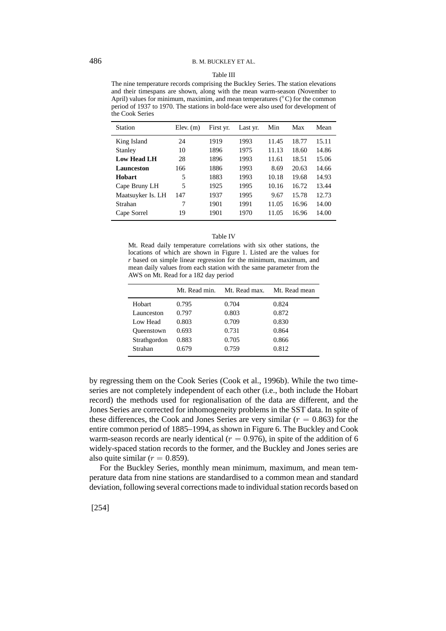#### Table III

The nine temperature records comprising the Buckley Series. The station elevations and their timespans are shown, along with the mean warm-season (November to April) values for minimum, maximim, and mean temperatures (°C) for the common period of 1937 to 1970. The stations in bold-face were also used for development of the Cook Series

| <b>Station</b>     | Elev. $(m)$ | First yr. | Last yr. | Min   | Max   | Mean  |
|--------------------|-------------|-----------|----------|-------|-------|-------|
| King Island        | 24          | 1919      | 1993     | 11.45 | 18.77 | 15.11 |
| <b>Stanley</b>     | 10          | 1896      | 1975     | 11.13 | 18.60 | 14.86 |
| <b>Low Head LH</b> | 28          | 1896      | 1993     | 11.61 | 18.51 | 15.06 |
| Launceston         | 166         | 1886      | 1993     | 8.69  | 20.63 | 14.66 |
| Hobart             | 5           | 1883      | 1993     | 10.18 | 19.68 | 14.93 |
| Cape Bruny LH      | 5           | 1925      | 1995     | 10.16 | 16.72 | 13.44 |
| Maatsuyker Is. LH  | 147         | 1937      | 1995     | 9.67  | 15.78 | 12.73 |
| Strahan            | 7           | 1901      | 1991     | 11.05 | 16.96 | 14.00 |
| Cape Sorrel        | 19          | 1901      | 1970     | 11.05 | 16.96 | 14.00 |

#### Table IV

Mt. Read daily temperature correlations with six other stations, the locations of which are shown in Figure 1. Listed are the values for *r* based on simple linear regression for the minimum, maximum, and mean daily values from each station with the same parameter from the AWS on Mt. Read for a 182 day period

|                   | Mt. Read min. | Mt. Read max. | Mt. Read mean |
|-------------------|---------------|---------------|---------------|
| Hobart            | 0.795         | 0.704         | 0.824         |
| Launceston        | 0.797         | 0.803         | 0.872         |
| Low Head          | 0.803         | 0.709         | 0.830         |
| <b>Oueenstown</b> | 0.693         | 0.731         | 0.864         |
| Strathgordon      | 0.883         | 0.705         | 0.866         |
| Strahan           | 0.679         | 0.759         | 0.812         |

by regressing them on the Cook Series (Cook et al., 1996b). While the two timeseries are not completely independent of each other (i.e., both include the Hobart record) the methods used for regionalisation of the data are different, and the Jones Series are corrected for inhomogeneity problems in the SST data. In spite of these differences, the Cook and Jones Series are very similar ( $r = 0.863$ ) for the entire common period of 1885–1994, as shown in Figure 6. The Buckley and Cook warm-season records are nearly identical ( $r = 0.976$ ), in spite of the addition of 6 widely-spaced station records to the former, and the Buckley and Jones series are also quite similar ( $r = 0.859$ ).

For the Buckley Series, monthly mean minimum, maximum, and mean temperature data from nine stations are standardised to a common mean and standard deviation, following several corrections made to individual station records based on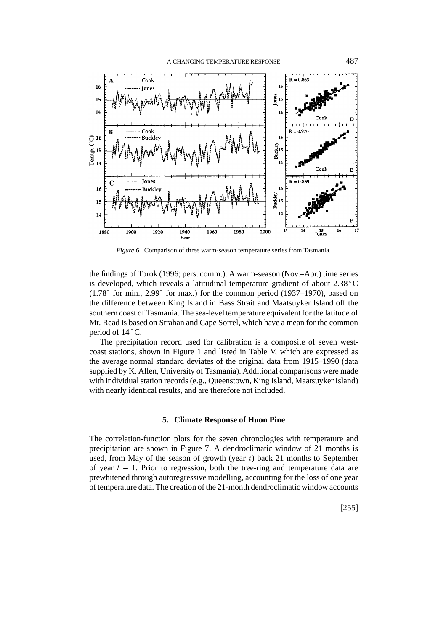

*Figure 6*. Comparison of three warm-season temperature series from Tasmania.

the findings of Torok (1996; pers. comm.). A warm-season (Nov.–Apr.) time series is developed, which reveals a latitudinal temperature gradient of about 2.38 C  $(1.78^{\circ}$  for min., 2.99° for max.) for the common period  $(1937–1970)$ , based on the difference between King Island in Bass Strait and Maatsuyker Island off the southern coast of Tasmania. The sea-level temperature equivalent for the latitude of Mt. Read is based on Strahan and Cape Sorrel, which have a mean for the common period of 14 C.

The precipitation record used for calibration is a composite of seven westcoast stations, shown in Figure 1 and listed in Table V, which are expressed as the average normal standard deviates of the original data from 1915–1990 (data supplied by K. Allen, University of Tasmania). Additional comparisons were made with individual station records (e.g., Queenstown, King Island, Maatsuyker Island) with nearly identical results, and are therefore not included.

### **5. Climate Response of Huon Pine**

The correlation-function plots for the seven chronologies with temperature and precipitation are shown in Figure 7. A dendroclimatic window of 21 months is used, from May of the season of growth (year  $t$ ) back 21 months to September of year  $t - 1$ . Prior to regression, both the tree-ring and temperature data are prewhitened through autoregressive modelling, accounting for the loss of one year of temperature data. The creation of the 21-month dendroclimatic window accounts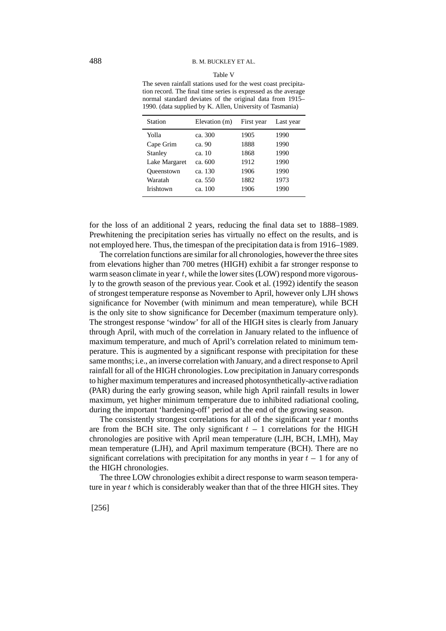#### Table V

The seven rainfall stations used for the west coast precipitation record. The final time series is expressed as the average normal standard deviates of the original data from 1915– 1990. (data supplied by K. Allen, University of Tasmania)

| <b>Station</b>    | Elevation (m) | First year | Last year |
|-------------------|---------------|------------|-----------|
| Yolla             | ca. 300       | 1905       | 1990      |
| Cape Grim         | ca. 90        | 1888       | 1990      |
| <b>Stanley</b>    | ca. 10        | 1868       | 1990      |
| Lake Margaret     | ca. 600       | 1912       | 1990      |
| <b>Oueenstown</b> | ca. 130       | 1906       | 1990      |
| Waratah           | ca. 550       | 1882       | 1973      |
| Irishtown         | ca. 100       | 1906       | 1990      |

for the loss of an additional 2 years, reducing the final data set to 1888–1989. Prewhitening the precipitation series has virtually no effect on the results, and is not employed here. Thus, the timespan of the precipitation data is from 1916–1989.

The correlation functions are similar for all chronologies, however the three sites from elevations higher than 700 metres (HIGH) exhibit a far stronger response to warm season climate in year  $t$ , while the lower sites (LOW) respond more vigorously to the growth season of the previous year. Cook et al. (1992) identify the season of strongest temperature response as November to April, however only LJH shows significance for November (with minimum and mean temperature), while BCH is the only site to show significance for December (maximum temperature only). The strongest response 'window' for all of the HIGH sites is clearly from January through April, with much of the correlation in January related to the influence of maximum temperature, and much of April's correlation related to minimum temperature. This is augmented by a significant response with precipitation for these same months; i.e., an inverse correlation with January, and a direct response to April rainfall for all of the HIGH chronologies. Low precipitation in January corresponds to higher maximum temperatures and increased photosynthetically-active radiation (PAR) during the early growing season, while high April rainfall results in lower maximum, yet higher minimum temperature due to inhibited radiational cooling, during the important 'hardening-off' period at the end of the growing season.

The consistently strongest correlations for all of the significant year  $t$  months are from the BCH site. The only significant  $t - 1$  correlations for the HIGH chronologies are positive with April mean temperature (LJH, BCH, LMH), May mean temperature (LJH), and April maximum temperature (BCH). There are no significant correlations with precipitation for any months in year  $t - 1$  for any of the HIGH chronologies.

The three LOW chronologies exhibit a direct response to warm season temperature in year  $t$  which is considerably weaker than that of the three HIGH sites. They

[256]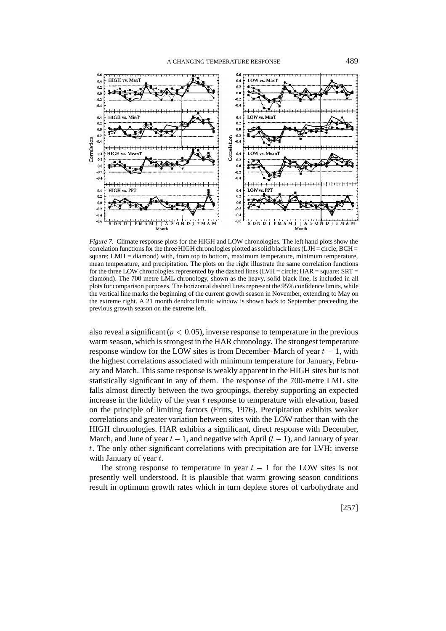

*Figure 7*. Climate response plots for the HIGH and LOW chronologies. The left hand plots show the correlation functions for the three HIGH chronologies plotted as solid black lines (LJH = circle; BCH = square; LMH = diamond) with, from top to bottom, maximum temperature, minimum temperature, mean temperature, and precipitation. The plots on the right illustrate the same correlation functions for the three LOW chronologies represented by the dashed lines (LVH = circle;  $HAR =$  square;  $SRT =$ diamond). The 700 metre LML chronology, shown as the heavy, solid black line, is included in all plots for comparison purposes. The horizontal dashed lines represent the 95% confidence limits, while the vertical line marks the beginning of the current growth season in November, extending to May on the extreme right. A 21 month dendroclimatic window is shown back to September preceeding the previous growth season on the extreme left.

also reveal a significant ( $p < 0.05$ ), inverse response to temperature in the previous warm season, which is strongest in the HAR chronology. The strongest temperature response window for the LOW sites is from December–March of year  $t - 1$ , with the highest correlations associated with minimum temperature for January, February and March. This same response is weakly apparent in the HIGH sites but is not statistically significant in any of them. The response of the 700-metre LML site falls almost directly between the two groupings, thereby supporting an expected increase in the fidelity of the year  $t$  response to temperature with elevation, based on the principle of limiting factors (Fritts, 1976). Precipitation exhibits weaker correlations and greater variation between sites with the LOW rather than with the HIGH chronologies. HAR exhibits a significant, direct response with December, March, and June of year  $t - 1$ , and negative with April  $(t - 1)$ , and January of year <sup>t</sup>. The only other significant correlations with precipitation are for LVH; inverse with January of year  $t$ .

The strong response to temperature in year  $t - 1$  for the LOW sites is not presently well understood. It is plausible that warm growing season conditions result in optimum growth rates which in turn deplete stores of carbohydrate and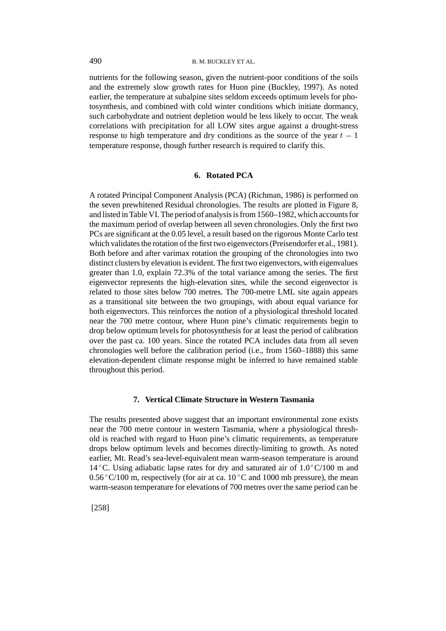### 490 B. M. BUCKLEY ET AL.

nutrients for the following season, given the nutrient-poor conditions of the soils and the extremely slow growth rates for Huon pine (Buckley, 1997). As noted earlier, the temperature at subalpine sites seldom exceeds optimum levels for photosynthesis, and combined with cold winter conditions which initiate dormancy, such carbohydrate and nutrient depletion would be less likely to occur. The weak correlations with precipitation for all LOW sites argue against a drought-stress response to high temperature and dry conditions as the source of the year  $t - 1$ temperature response, though further research is required to clarify this.

# **6. Rotated PCA**

A rotated Principal Component Analysis (PCA) (Richman, 1986) is performed on the seven prewhitened Residual chronologies. The results are plotted in Figure 8, and listed in Table VI. The period of analysis is from 1560–1982, which accounts for the maximum period of overlap between all seven chronologies. Only the first two PCs are significant at the 0.05 level, a result based on the rigorous Monte Carlo test which validates the rotation of the first two eigenvectors (Preisendorfer et al., 1981). Both before and after varimax rotation the grouping of the chronologies into two distinct clusters by elevation is evident. The first two eigenvectors, with eigenvalues greater than 1.0, explain 72.3% of the total variance among the series. The first eigenvector represents the high-elevation sites, while the second eigenvector is related to those sites below 700 metres. The 700-metre LML site again appears as a transitional site between the two groupings, with about equal variance for both eigenvectors. This reinforces the notion of a physiological threshold located near the 700 metre contour, where Huon pine's climatic requirements begin to drop below optimum levels for photosynthesis for at least the period of calibration over the past ca. 100 years. Since the rotated PCA includes data from all seven chronologies well before the calibration period (i.e., from 1560–1888) this same elevation-dependent climate response might be inferred to have remained stable throughout this period.

### **7. Vertical Climate Structure in Western Tasmania**

The results presented above suggest that an important environmental zone exists near the 700 metre contour in western Tasmania, where a physiological threshold is reached with regard to Huon pine's climatic requirements, as temperature drops below optimum levels and becomes directly-limiting to growth. As noted earlier, Mt. Read's sea-level-equivalent mean warm-season temperature is around 14 °C. Using adiabatic lapse rates for dry and saturated air of  $1.0\degree$ C/100 m and  $0.56\degree$ C/100 m, respectively (for air at ca. 10  $\degree$ C and 1000 mb pressure), the mean warm-season temperature for elevations of 700 metres over the same period can be

[258]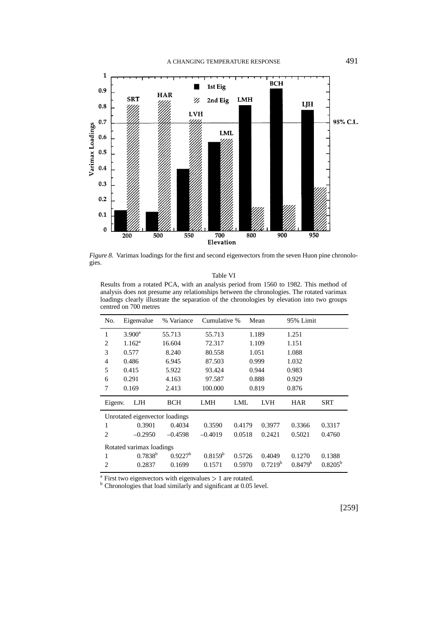

*Figure 8*. Varimax loadings for the first and second eigenvectors from the seven Huon pine chronologies.

Table VI

Results from a rotated PCA, with an analysis period from 1560 to 1982. This method of analysis does not presume any relationships between the chronologies. The rotated varimax loadings clearly illustrate the separation of the chronologies by elevation into two groups centred on 700 metres

| No.                            | Eigenvalue      | % Variance | Cumulative % |        | Mean         | 95% Limit  |              |  |
|--------------------------------|-----------------|------------|--------------|--------|--------------|------------|--------------|--|
| 1                              | $3.900^{\rm a}$ | 55.713     | 55.713       |        | 1.189        | 1.251      |              |  |
| 2                              | $1.162^a$       | 16.604     | 72.317       |        | 1.109        | 1.151      |              |  |
| 3                              | 0.577           | 8.240      | 80.558       |        | 1.051        | 1.088      |              |  |
| $\overline{4}$                 | 0.486           | 6.945      | 87.503       |        | 0.999        | 1.032      |              |  |
| 5                              | 0.415           | 5.922      | 93.424       |        | 0.944        | 0.983      |              |  |
| 6                              | 0.291           | 4.163      | 97.587       |        | 0.888        | 0.929      |              |  |
| 7                              | 0.169           | 2.413      | 100.000      |        | 0.819        | 0.876      |              |  |
| Eigenv.                        | LJH             | <b>BCH</b> | LMH          | LML    | <b>LVH</b>   | <b>HAR</b> | <b>SRT</b>   |  |
| Unrotated eigenvector loadings |                 |            |              |        |              |            |              |  |
| 1                              | 0.3901          | 0.4034     | 0.3590       | 0.4179 | 0.3977       | 0.3366     | 0.3317       |  |
| $\overline{c}$                 | $-0.2950$       | $-0.4598$  | $-0.4019$    | 0.0518 | 0.2421       | 0.5021     | 0.4760       |  |
| Rotated varimax loadings       |                 |            |              |        |              |            |              |  |
| 1                              | $0.7838^{b}$    | $0.9227^b$ | $0.8159^{b}$ | 0.5726 | 0.4049       | 0.1270     | 0.1388       |  |
| 2                              | 0.2837          | 0.1699     | 0.1571       | 0.5970 | $0.7219^{b}$ | $0.8479^b$ | $0.8205^{b}$ |  |

<sup>a</sup> First two eigenvectors with eigenvalues  $> 1$  are rotated. <br><sup>b</sup> Chronologies that load similarly and significant at 0.05 level.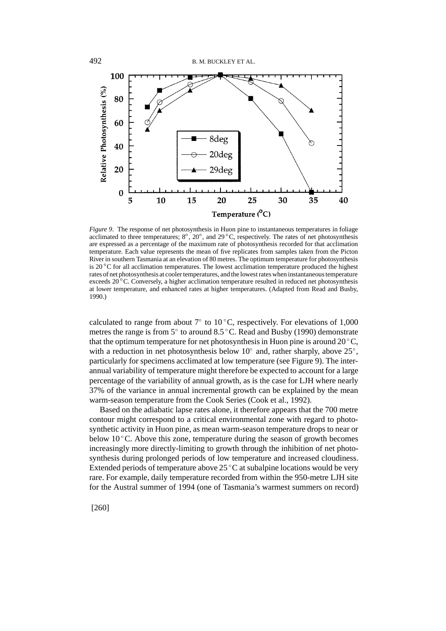

*Figure 9*. The response of net photosynthesis in Huon pine to instantaneous temperatures in foliage acclimated to three temperatures;  $8^{\circ}$ ,  $20^{\circ}$ , and  $29^{\circ}$ C, respectively. The rates of net photosynthesis are expressed as a percentage of the maximum rate of photosynthesis recorded for that acclimation temperature. Each value represents the mean of five replicates from samples taken from the Picton River in southern Tasmania at an elevation of 80 metres. The optimum temperature for photosynthesis is 20 °C for all acclimation temperatures. The lowest acclimation temperature produced the highest rates of net photosynthesis at cooler temperatures, and the lowest rates when instantaneous temperature exceeds 20 °C. Conversely, a higher acclimation temperature resulted in reduced net photosynthesis at lower temperature, and enhanced rates at higher temperatures. (Adapted from Read and Busby, 1990.)

calculated to range from about  $7^{\circ}$  to 10 °C, respectively. For elevations of 1,000 metres the range is from  $5^{\circ}$  to around  $8.5^{\circ}$ C. Read and Busby (1990) demonstrate that the optimum temperature for net photosynthesis in Huon pine is around  $20^{\circ}$ C, with a reduction in net photosynthesis below  $10^{\circ}$  and, rather sharply, above  $25^{\circ}$ , particularly for specimens acclimated at low temperature (see Figure 9). The interannual variability of temperature might therefore be expected to account for a large percentage of the variability of annual growth, as is the case for LJH where nearly 37% of the variance in annual incremental growth can be explained by the mean warm-season temperature from the Cook Series (Cook et al., 1992).

Based on the adiabatic lapse rates alone, it therefore appears that the 700 metre contour might correspond to a critical environmental zone with regard to photosynthetic activity in Huon pine, as mean warm-season temperature drops to near or below 10<sup>°</sup>C. Above this zone, temperature during the season of growth becomes increasingly more directly-limiting to growth through the inhibition of net photosynthesis during prolonged periods of low temperature and increased cloudiness. Extended periods of temperature above  $25^{\circ}$ C at subalpine locations would be very rare. For example, daily temperature recorded from within the 950-metre LJH site for the Austral summer of 1994 (one of Tasmania's warmest summers on record)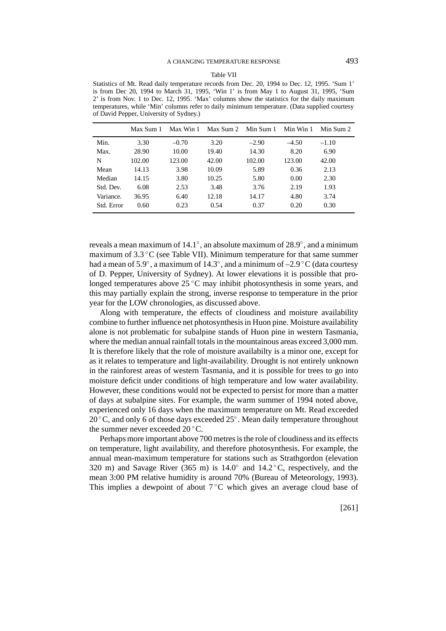| າເ | аΓ |  |  |  |
|----|----|--|--|--|
|----|----|--|--|--|

Statistics of Mt. Read daily temperature records from Dec. 20, 1994 to Dec. 12, 1995. 'Sum 1' is from Dec 20, 1994 to March 31, 1995, 'Win 1' is from May 1 to August 31, 1995, 'Sum 2' is from Nov. 1 to Dec. 12, 1995. 'Max' columns show the statistics for the daily maximum temperatures, while 'Min' columns refer to daily minimum temperature. (Data supplied courtesy of David Pepper, University of Sydney.)

|            | Max Sum 1 | Max Win 1 | Max Sum 2 Min Sum 1 |         | Min Win 1 | Min Sum 2 |
|------------|-----------|-----------|---------------------|---------|-----------|-----------|
| Min.       | 3.30      | $-0.70$   | 3.20                | $-2.90$ | $-4.50$   | $-1.10$   |
| Max.       | 28.90     | 10.00     | 19.40               | 14.30   | 8.20      | 6.90      |
| N          | 102.00    | 123.00    | 42.00               | 102.00  | 123.00    | 42.00     |
| Mean       | 14.13     | 3.98      | 10.09               | 5.89    | 0.36      | 2.13      |
| Median     | 14.15     | 3.80      | 10.25               | 5.80    | 0.00      | 2.30      |
| Std. Dev.  | 6.08      | 2.53      | 3.48                | 3.76    | 2.19      | 1.93      |
| Variance.  | 36.95     | 6.40      | 12.18               | 14.17   | 4.80      | 3.74      |
| Std. Error | 0.60      | 0.23      | 0.54                | 0.37    | 0.20      | 0.30      |

reveals a mean maximum of 14.1 , an absolute maximum of 28.9 , and a minimum maximum of  $3.3\textdegree$ C (see Table VII). Minimum temperature for that same summer had a mean of 5.9°, a maximum of 14.3°, and a minimum of  $-2.9\,^{\circ}\text{C}$  (data courtesy of D. Pepper, University of Sydney). At lower elevations it is possible that prolonged temperatures above  $25^{\circ}$ C may inhibit photosynthesis in some years, and this may partially explain the strong, inverse response to temperature in the prior year for the LOW chronologies, as discussed above.

Along with temperature, the effects of cloudiness and moisture availability combine to further influence net photosynthesis in Huon pine. Moisture availability alone is not problematic for subalpine stands of Huon pine in western Tasmania, where the median annual rainfall totals in the mountainous areas exceed 3,000 mm. It is therefore likely that the role of moisture availabilty is a minor one, except for as it relates to temperature and light-availability. Drought is not entirely unknown in the rainforest areas of western Tasmania, and it is possible for trees to go into moisture deficit under conditions of high temperature and low water availability. However, these conditions would not be expected to persist for more than a matter of days at subalpine sites. For example, the warm summer of 1994 noted above, experienced only 16 days when the maximum temperature on Mt. Read exceeded 20 °C, and only 6 of those days exceeded 25°. Mean daily temperature throughout the summer never exceeded  $20^{\circ}$ C.

Perhaps more important above 700 metres is the role of cloudiness and its effects on temperature, light availability, and therefore photosynthesis. For example, the annual mean-maximum temperature for stations such as Strathgordon (elevation 320 m) and Savage River (365 m) is  $14.0^{\circ}$  and  $14.2^{\circ}$ C, respectively, and the mean 3:00 PM relative humidity is around 70% (Bureau of Meteorology, 1993). This implies a dewpoint of about  $7^{\circ}$ C which gives an average cloud base of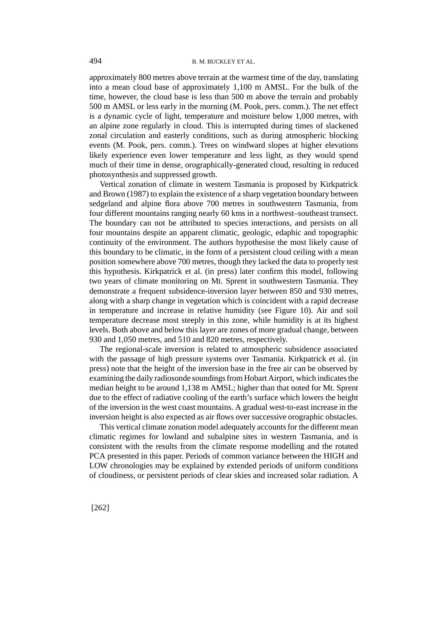approximately 800 metres above terrain at the warmest time of the day, translating into a mean cloud base of approximately 1,100 m AMSL. For the bulk of the time, however, the cloud base is less than 500 m above the terrain and probably 500 m AMSL or less early in the morning (M. Pook, pers. comm.). The net effect is a dynamic cycle of light, temperature and moisture below 1,000 metres, with an alpine zone regularly in cloud. This is interrupted during times of slackened zonal circulation and easterly conditions, such as during atmospheric blocking events (M. Pook, pers. comm.). Trees on windward slopes at higher elevations likely experience even lower temperature and less light, as they would spend much of their time in dense, orographically-generated cloud, resulting in reduced photosynthesis and suppressed growth.

Vertical zonation of climate in western Tasmania is proposed by Kirkpatrick and Brown (1987) to explain the existence of a sharp vegetation boundary between sedgeland and alpine flora above 700 metres in southwestern Tasmania, from four different mountains ranging nearly 60 kms in a northwest–southeast transect. The boundary can not be attributed to species interactions, and persists on all four mountains despite an apparent climatic, geologic, edaphic and topographic continuity of the environment. The authors hypothesise the most likely cause of this boundary to be climatic, in the form of a persistent cloud ceiling with a mean position somewhere above 700 metres, though they lacked the data to properly test this hypothesis. Kirkpatrick et al. (in press) later confirm this model, following two years of climate monitoring on Mt. Sprent in southwestern Tasmania. They demonstrate a frequent subsidence-inversion layer between 850 and 930 metres, along with a sharp change in vegetation which is coincident with a rapid decrease in temperature and increase in relative humidity (see Figure 10). Air and soil temperature decrease most steeply in this zone, while humidity is at its highest levels. Both above and below this layer are zones of more gradual change, between 930 and 1,050 metres, and 510 and 820 metres, respectively.

The regional-scale inversion is related to atmospheric subsidence associated with the passage of high pressure systems over Tasmania. Kirkpatrick et al. (in press) note that the height of the inversion base in the free air can be observed by examining the daily radiosonde soundings from Hobart Airport, which indicates the median height to be around 1,138 m AMSL; higher than that noted for Mt. Sprent due to the effect of radiative cooling of the earth's surface which lowers the height of the inversion in the west coast mountains. A gradual west-to-east increase in the inversion height is also expected as air flows over successive orographic obstacles.

This vertical climate zonation model adequately accounts for the different mean climatic regimes for lowland and subalpine sites in western Tasmania, and is consistent with the results from the climate response modelling and the rotated PCA presented in this paper. Periods of common variance between the HIGH and LOW chronologies may be explained by extended periods of uniform conditions of cloudiness, or persistent periods of clear skies and increased solar radiation. A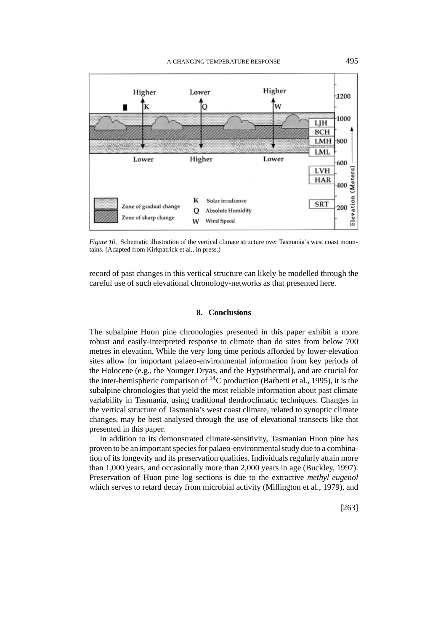

*Figure 10*. Schematic illustration of the vertical climate structure over Tasmania's west coast mountains. (Adapted from Kirkpatrick et al., in press.)

record of past changes in this vertical structure can likely be modelled through the careful use of such elevational chronology-networks as that presented here.

# **8. Conclusions**

The subalpine Huon pine chronologies presented in this paper exhibit a more robust and easily-interpreted response to climate than do sites from below 700 metres in elevation. While the very long time periods afforded by lower-elevation sites allow for important palaeo-environmental information from key periods of the Holocene (e.g., the Younger Dryas, and the Hypsithermal), and are crucial for the inter-hemispheric comparison of  ${}^{14}$ C production (Barbetti et al., 1995), it is the subalpine chronologies that yield the most reliable information about past climate variability in Tasmania, using traditional dendroclimatic techniques. Changes in the vertical structure of Tasmania's west coast climate, related to synoptic climate changes, may be best analysed through the use of elevational transects like that presented in this paper.

In addition to its demonstrated climate-sensitivity, Tasmanian Huon pine has proven to be an important species for palaeo-environmental study due to a combination of its longevity and its preservation qualities. Individuals regularly attain more than 1,000 years, and occasionally more than 2,000 years in age (Buckley, 1997). Preservation of Huon pine log sections is due to the extractive *methyl eugenol* which serves to retard decay from microbial activity (Millington et al., 1979), and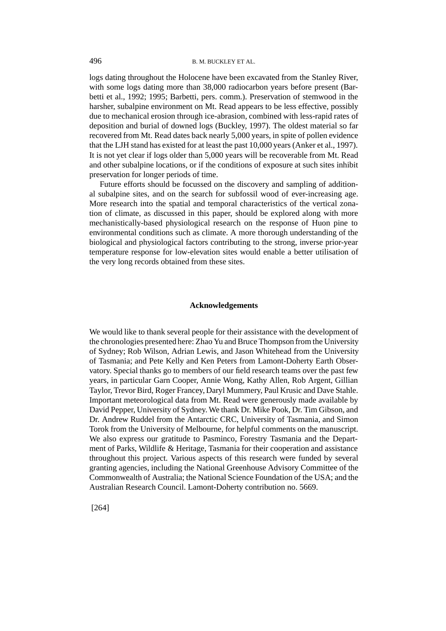logs dating throughout the Holocene have been excavated from the Stanley River, with some logs dating more than 38,000 radiocarbon years before present (Barbetti et al., 1992; 1995; Barbetti, pers. comm.). Preservation of stemwood in the harsher, subalpine environment on Mt. Read appears to be less effective, possibly due to mechanical erosion through ice-abrasion, combined with less-rapid rates of deposition and burial of downed logs (Buckley, 1997). The oldest material so far recovered from Mt. Read dates back nearly 5,000 years, in spite of pollen evidence that the LJH stand has existed for at least the past 10,000 years (Anker et al., 1997). It is not yet clear if logs older than 5,000 years will be recoverable from Mt. Read and other subalpine locations, or if the conditions of exposure at such sites inhibit preservation for longer periods of time.

Future efforts should be focussed on the discovery and sampling of additional subalpine sites, and on the search for subfossil wood of ever-increasing age. More research into the spatial and temporal characteristics of the vertical zonation of climate, as discussed in this paper, should be explored along with more mechanistically-based physiological research on the response of Huon pine to environmental conditions such as climate. A more thorough understanding of the biological and physiological factors contributing to the strong, inverse prior-year temperature response for low-elevation sites would enable a better utilisation of the very long records obtained from these sites.

### **Acknowledgements**

We would like to thank several people for their assistance with the development of the chronologies presented here: Zhao Yu and Bruce Thompson from the University of Sydney; Rob Wilson, Adrian Lewis, and Jason Whitehead from the University of Tasmania; and Pete Kelly and Ken Peters from Lamont-Doherty Earth Observatory. Special thanks go to members of our field research teams over the past few years, in particular Garn Cooper, Annie Wong, Kathy Allen, Rob Argent, Gillian Taylor, Trevor Bird, Roger Francey, Daryl Mummery, Paul Krusic and Dave Stahle. Important meteorological data from Mt. Read were generously made available by David Pepper, University of Sydney. We thank Dr. Mike Pook, Dr. Tim Gibson, and Dr. Andrew Ruddel from the Antarctic CRC, University of Tasmania, and Simon Torok from the University of Melbourne, for helpful comments on the manuscript. We also express our gratitude to Pasminco, Forestry Tasmania and the Department of Parks, Wildlife & Heritage, Tasmania for their cooperation and assistance throughout this project. Various aspects of this research were funded by several granting agencies, including the National Greenhouse Advisory Committee of the Commonwealth of Australia; the National Science Foundation of the USA; and the Australian Research Council. Lamont-Doherty contribution no. 5669.

[264]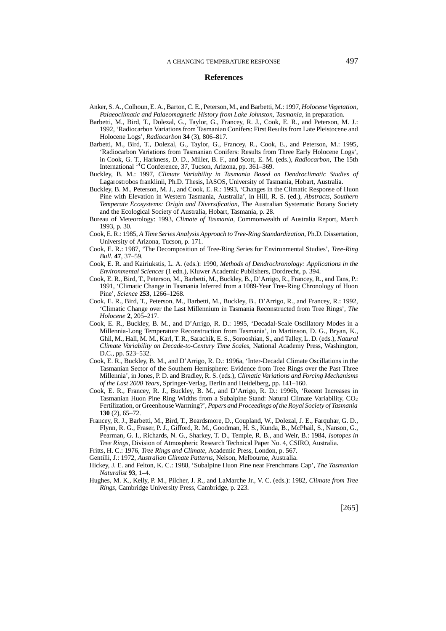### **References**

- Anker, S. A., Colhoun, E. A., Barton, C. E., Peterson, M., and Barbetti, M.: 1997, *Holocene Vegetation, Palaeoclimatic and Palaeomagnetic History from Lake Johnston, Tasmania*, in preparation.
- Barbetti, M., Bird, T., Dolezal, G., Taylor, G., Francey, R. J., Cook, E. R., and Peterson, M. J.: 1992, 'Radiocarbon Variations from Tasmanian Conifers: First Results from Late Pleistocene and Holocene Logs', *Radiocarbon* **34** (3), 806–817.
- Barbetti, M., Bird, T., Dolezal, G., Taylor, G., Francey, R., Cook, E., and Peterson, M.: 1995, 'Radiocarbon Variations from Tasmanian Conifers: Results from Three Early Holocene Logs', in Cook, G. T., Harkness, D. D., Miller, B. F., and Scott, E. M. (eds.), *Radiocarbon*, The 15th International 14C Conference, 37, Tucson, Arizona, pp. 361–369.
- Buckley, B. M.: 1997, *Climate Variability in Tasmania Based on Dendroclimatic Studies of* Lagarostrobos franklinii, Ph.D. Thesis, IASOS, University of Tasmania, Hobart, Australia.
- Buckley, B. M., Peterson, M. J., and Cook, E. R.: 1993, 'Changes in the Climatic Response of Huon Pine with Elevation in Western Tasmania, Australia', in Hill, R. S. (ed.), *Abstracts, Southern Temperate Ecosystems: Origin and Diversification*, The Australian Systematic Botany Society and the Ecological Society of Australia, Hobart, Tasmania, p. 28.
- Bureau of Meteorology: 1993, *Climate of Tasmania*, Commonwealth of Australia Report, March 1993, p. 30.
- Cook, E. R.: 1985, *A Time Series Analysis Approach to Tree-Ring Standardization*, Ph.D. Dissertation, University of Arizona, Tucson, p. 171.
- Cook, E. R.: 1987, 'The Decomposition of Tree-Ring Series for Environmental Studies', *Tree-Ring Bull.* **47**, 37–59.
- Cook, E. R. and Kairiukstis, L. A. (eds.): 1990, *Methods of Dendrochronology: Applications in the Environmental Sciences* (1 edn.), Kluwer Academic Publishers, Dordrecht, p. 394.
- Cook, E. R., Bird, T., Peterson, M., Barbetti, M., Buckley, B., D'Arrigo, R., Francey, R., and Tans, P.: 1991, 'Climatic Change in Tasmania Inferred from a 1089-Year Tree-Ring Chronology of Huon Pine', *Science* **253**, 1266–1268.
- Cook, E. R., Bird, T., Peterson, M., Barbetti, M., Buckley, B., D'Arrigo, R., and Francey, R.: 1992, 'Climatic Change over the Last Millennium in Tasmania Reconstructed from Tree Rings', *The Holocene* **2**, 205–217.
- Cook, E. R., Buckley, B. M., and D'Arrigo, R. D.: 1995, 'Decadal-Scale Oscillatory Modes in a Millennia-Long Temperature Reconstruction from Tasmania', in Martinson, D. G., Bryan, K., Ghil, M., Hall, M. M., Karl, T. R., Sarachik, E. S., Sorooshian, S., and Talley, L. D. (eds.), *Natural Climate Variability on Decade-to-Century Time Scales*, National Academy Press, Washington, D.C., pp. 523–532.
- Cook, E. R., Buckley, B. M., and D'Arrigo, R. D.: 1996a, 'Inter-Decadal Climate Oscillations in the Tasmanian Sector of the Southern Hemisphere: Evidence from Tree Rings over the Past Three Millennia', in Jones, P. D. and Bradley, R. S. (eds.), *Climatic Variations and Forcing Mechanisms of the Last 2000 Years*, Springer-Verlag, Berlin and Heidelberg, pp. 141–160.
- Cook, E. R., Francey, R. J., Buckley, B. M., and D'Arrigo, R. D.: 1996b, 'Recent Increases in Tasmanian Huon Pine Ring Widths from a Subalpine Stand: Natural Climate Variability,  $CO<sub>2</sub>$ Fertilization, or Greenhouse Warming?', *Papers and Proceedings of the Royal Society of Tasmania* **130** (2), 65–72.
- Francey, R. J., Barbetti, M., Bird, T., Beardsmore, D., Coupland, W., Dolezal, J. E., Farquhar, G. D., Flynn, R. G., Fraser, P. J., Gifford, R. M., Goodman, H. S., Kunda, B., McPhail, S., Nanson, G., Pearman, G. I., Richards, N. G., Sharkey, T. D., Temple, R. B., and Weir, B.: 1984, *Isotopes in Tree Rings*, Division of Atmospheric Research Technical Paper No. 4, CSIRO, Australia.
- Fritts, H. C.: 1976, *Tree Rings and Climate*, Academic Press, London, p. 567.
- Gentilli, J.: 1972, *Australian Climate Patterns*, Nelson, Melbourne, Australia.
- Hickey, J. E. and Felton, K. C.: 1988, 'Subalpine Huon Pine near Frenchmans Cap', *The Tasmanian Naturalist* **93**, 1–4.
- Hughes, M. K., Kelly, P. M., Pilcher, J. R., and LaMarche Jr., V. C. (eds.): 1982, *Climate from Tree Rings*, Cambridge University Press, Cambridge, p. 223.